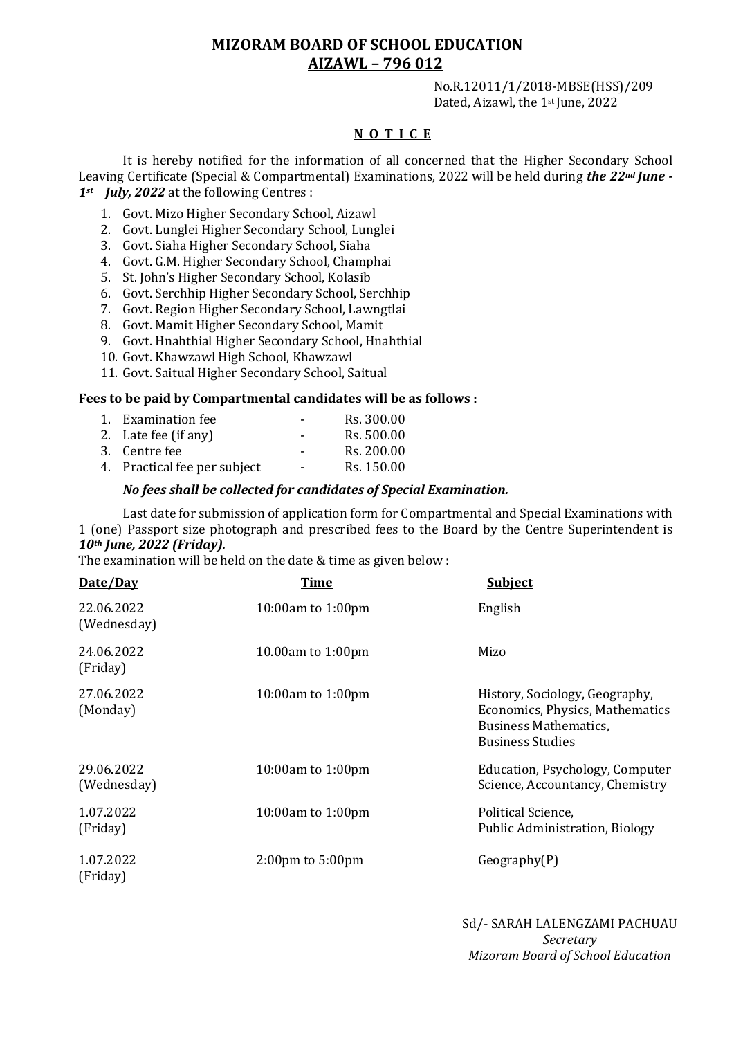## **MIZORAM BOARD OF SCHOOL EDUCATION AIZAWL – 796 012**

No.R.12011/1/2018-MBSE(HSS)/209 Dated, Aizawl, the 1st June, 2022

## **N O T I C E**

It is hereby notified for the information of all concerned that the Higher Secondary School Leaving Certificate (Special & Compartmental) Examinations, 2022 will be held during *the 22nd June - 1st July, 2022* at the following Centres :

- 1. Govt. Mizo Higher Secondary School, Aizawl
- 2. Govt. Lunglei Higher Secondary School, Lunglei
- 3. Govt. Siaha Higher Secondary School, Siaha
- 4. Govt. G.M. Higher Secondary School, Champhai
- 5. St. John's Higher Secondary School, Kolasib
- 6. Govt. Serchhip Higher Secondary School, Serchhip
- 7. Govt. Region Higher Secondary School, Lawngtlai
- 8. Govt. Mamit Higher Secondary School, Mamit
- 9. Govt. Hnahthial Higher Secondary School, Hnahthial
- 10. Govt. Khawzawl High School, Khawzawl
- 11. Govt. Saitual Higher Secondary School, Saitual

## **Fees to be paid by Compartmental candidates will be as follows :**

| 1. Examination fee           | $\overline{\phantom{0}}$ | Rs. 300.00 |
|------------------------------|--------------------------|------------|
| 2. Late fee (if any)         | $\overline{\phantom{0}}$ | Rs. 500.00 |
| 3. Centre fee                | $\overline{\phantom{0}}$ | Rs. 200.00 |
| 4. Practical fee per subject | $\blacksquare$           | Rs. 150.00 |

## *No fees shall be collected for candidates of Special Examination.*

Last date for submission of application form for Compartmental and Special Examinations with 1 (one) Passport size photograph and prescribed fees to the Board by the Centre Superintendent is *10th June, 2022 (Friday).* 

The examination will be held on the date & time as given below :

| Date/Day                  | <b>Time</b>                          | <b>Subject</b>                                                                                                               |
|---------------------------|--------------------------------------|------------------------------------------------------------------------------------------------------------------------------|
| 22.06.2022<br>(Wednesday) | 10:00am to 1:00pm                    | English                                                                                                                      |
| 24.06.2022<br>(Friday)    | 10.00am to 1:00pm                    | Mizo                                                                                                                         |
| 27.06.2022<br>(Monday)    | $10:00$ am to $1:00$ pm              | History, Sociology, Geography,<br>Economics, Physics, Mathematics<br><b>Business Mathematics,</b><br><b>Business Studies</b> |
| 29.06.2022<br>(Wednesday) | 10:00am to 1:00pm                    | Education, Psychology, Computer<br>Science, Accountancy, Chemistry                                                           |
| 1.07.2022<br>(Friday)     | 10:00am to 1:00pm                    | Political Science,<br>Public Administration, Biology                                                                         |
| 1.07.2022<br>(Friday)     | $2:00 \text{pm}$ to $5:00 \text{pm}$ | Geography(P)                                                                                                                 |

Sd/- SARAH LALENGZAMI PACHUAU *Secretary Mizoram Board of School Education*